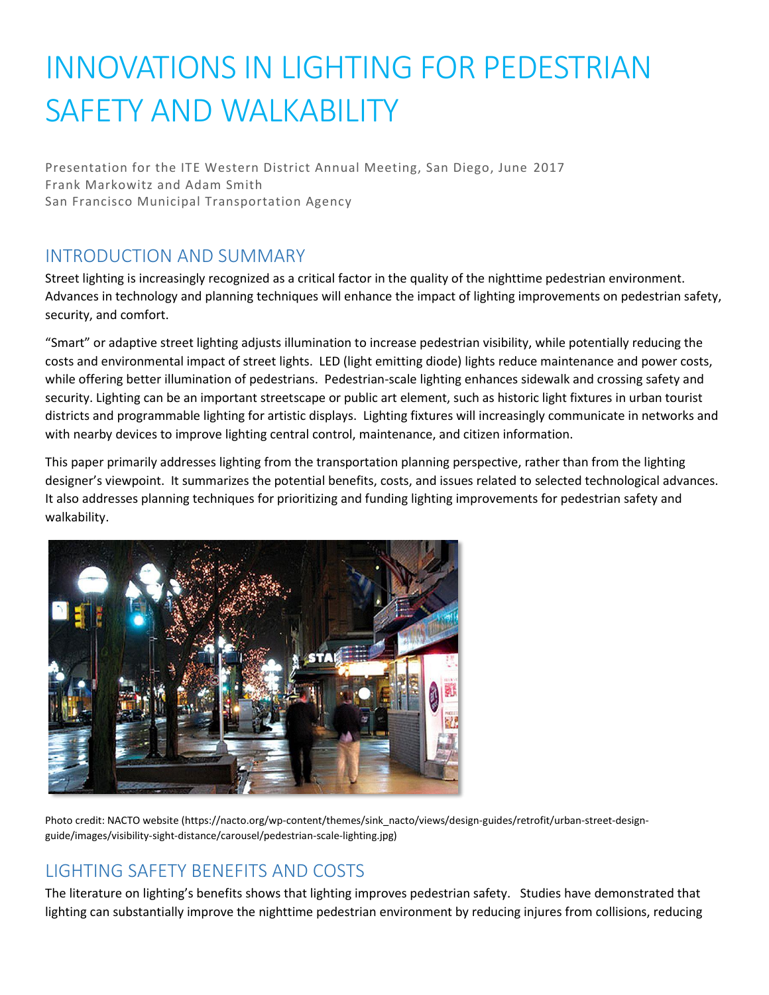# INNOVATIONS IN LIGHTING FOR PEDESTRIAN SAFETY AND WALKABILITY

Presentation for the ITE Western District Annual Meeting, San Diego, June 2017 Frank Markowitz and Adam Smith San Francisco Municipal Transportation Agency

# INTRODUCTION AND SUMMARY

Street lighting is increasingly recognized as a critical factor in the quality of the nighttime pedestrian environment. Advances in technology and planning techniques will enhance the impact of lighting improvements on pedestrian safety, security, and comfort.

"Smart" or adaptive street lighting adjusts illumination to increase pedestrian visibility, while potentially reducing the costs and environmental impact of street lights. LED (light emitting diode) lights reduce maintenance and power costs, while offering better illumination of pedestrians. Pedestrian-scale lighting enhances sidewalk and crossing safety and security. Lighting can be an important streetscape or public art element, such as historic light fixtures in urban tourist districts and programmable lighting for artistic displays. Lighting fixtures will increasingly communicate in networks and with nearby devices to improve lighting central control, maintenance, and citizen information.

This paper primarily addresses lighting from the transportation planning perspective, rather than from the lighting designer's viewpoint. It summarizes the potential benefits, costs, and issues related to selected technological advances. It also addresses planning techniques for prioritizing and funding lighting improvements for pedestrian safety and walkability.



Photo credit: NACTO website (https://nacto.org/wp-content/themes/sink\_nacto/views/design-guides/retrofit/urban-street-designguide/images/visibility-sight-distance/carousel/pedestrian-scale-lighting.jpg)

# LIGHTING SAFETY BENEFITS AND COSTS

The literature on lighting's benefits shows that lighting improves pedestrian safety. Studies have demonstrated that lighting can substantially improve the nighttime pedestrian environment by reducing injures from collisions, reducing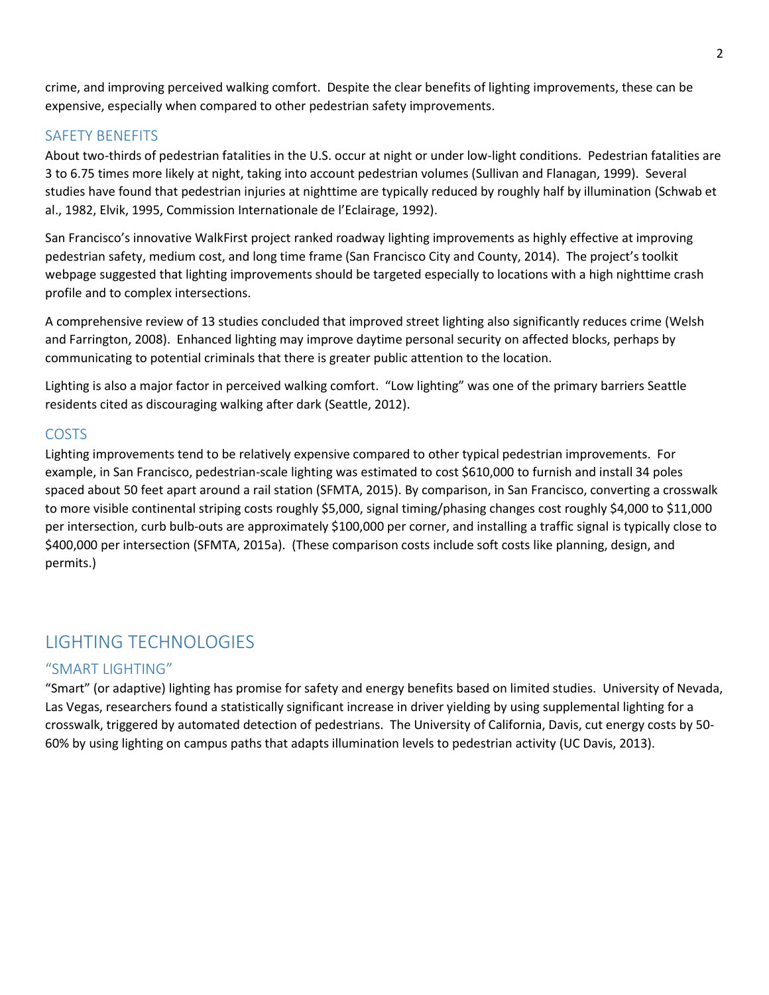crime, and improving perceived walking comfort. Despite the clear benefits of lighting improvements, these can be expensive, especially when compared to other pedestrian safety improvements.

#### SAFETY BENEFITS

About two-thirds of pedestrian fatalities in the U.S. occur at night or under low-light conditions. Pedestrian fatalities are 3 to 6.75 times more likely at night, taking into account pedestrian volumes (Sullivan and Flanagan, 1999). Several studies have found that pedestrian injuries at nighttime are typically reduced by roughly half by illumination (Schwab et al., 1982, Elvik, 1995, Commission Internationale de l'Eclairage, 1992).

San Francisco's innovative WalkFirst project ranked roadway lighting improvements as highly effective at improving pedestrian safety, medium cost, and long time frame (San Francisco City and County, 2014). The project's toolkit webpage suggested that lighting improvements should be targeted especially to locations with a high nighttime crash profile and to complex intersections.

A comprehensive review of 13 studies concluded that improved street lighting also significantly reduces crime (Welsh and Farrington, 2008). Enhanced lighting may improve daytime personal security on affected blocks, perhaps by communicating to potential criminals that there is greater public attention to the location.

Lighting is also a major factor in perceived walking comfort. "Low lighting" was one of the primary barriers Seattle residents cited as discouraging walking after dark (Seattle, 2012).

#### COSTS

Lighting improvements tend to be relatively expensive compared to other typical pedestrian improvements. For example, in San Francisco, pedestrian-scale lighting was estimated to cost \$610,000 to furnish and install 34 poles spaced about 50 feet apart around a rail station (SFMTA, 2015). By comparison, in San Francisco, converting a crosswalk to more visible continental striping costs roughly \$5,000, signal timing/phasing changes cost roughly \$4,000 to \$11,000 per intersection, curb bulb-outs are approximately \$100,000 per corner, and installing a traffic signal is typically close to \$400,000 per intersection (SFMTA, 2015a). (These comparison costs include soft costs like planning, design, and permits.)

## LIGHTING TECHNOLOGIES

#### "SMART LIGHTING"

"Smart" (or adaptive) lighting has promise for safety and energy benefits based on limited studies. University of Nevada, Las Vegas, researchers found a statistically significant increase in driver yielding by using supplemental lighting for a crosswalk, triggered by automated detection of pedestrians. The University of California, Davis, cut energy costs by 50- 60% by using lighting on campus paths that adapts illumination levels to pedestrian activity (UC Davis, 2013).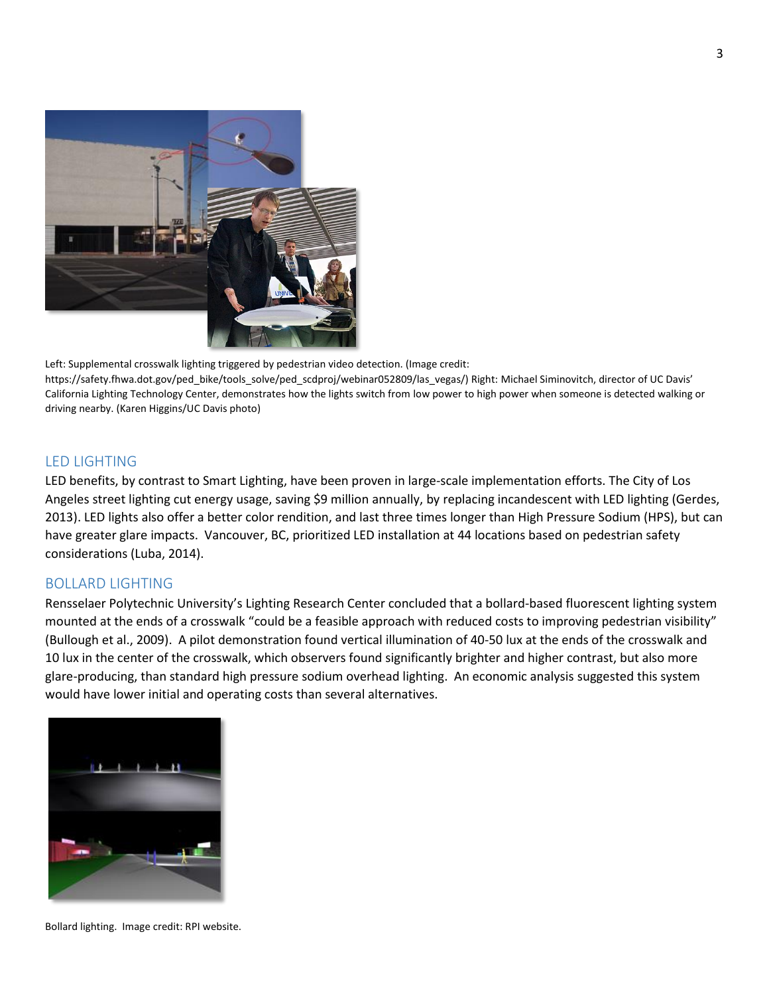

Left: Supplemental crosswalk lighting triggered by pedestrian video detection. (Image credit: https://safety.fhwa.dot.gov/ped\_bike/tools\_solve/ped\_scdproj/webinar052809/las\_vegas/) Right: Michael Siminovitch, director of UC Davis' California Lighting Technology Center, demonstrates how the lights switch from low power to high power when someone is detected walking or driving nearby. (Karen Higgins/UC Davis photo)

#### LED LIGHTING

LED benefits, by contrast to Smart Lighting, have been proven in large-scale implementation efforts. The City of Los Angeles street lighting cut energy usage, saving \$9 million annually, by replacing incandescent with LED lighting (Gerdes, 2013). LED lights also offer a better color rendition, and last three times longer than High Pressure Sodium (HPS), but can have greater glare impacts. Vancouver, BC, prioritized LED installation at 44 locations based on pedestrian safety considerations (Luba, 2014).

#### BOLLARD LIGHTING

Rensselaer Polytechnic University's Lighting Research Center concluded that a bollard-based fluorescent lighting system mounted at the ends of a crosswalk "could be a feasible approach with reduced costs to improving pedestrian visibility" (Bullough et al., 2009). A pilot demonstration found vertical illumination of 40-50 lux at the ends of the crosswalk and 10 lux in the center of the crosswalk, which observers found significantly brighter and higher contrast, but also more glare-producing, than standard high pressure sodium overhead lighting. An economic analysis suggested this system would have lower initial and operating costs than several alternatives.



Bollard lighting. Image credit: RPI website.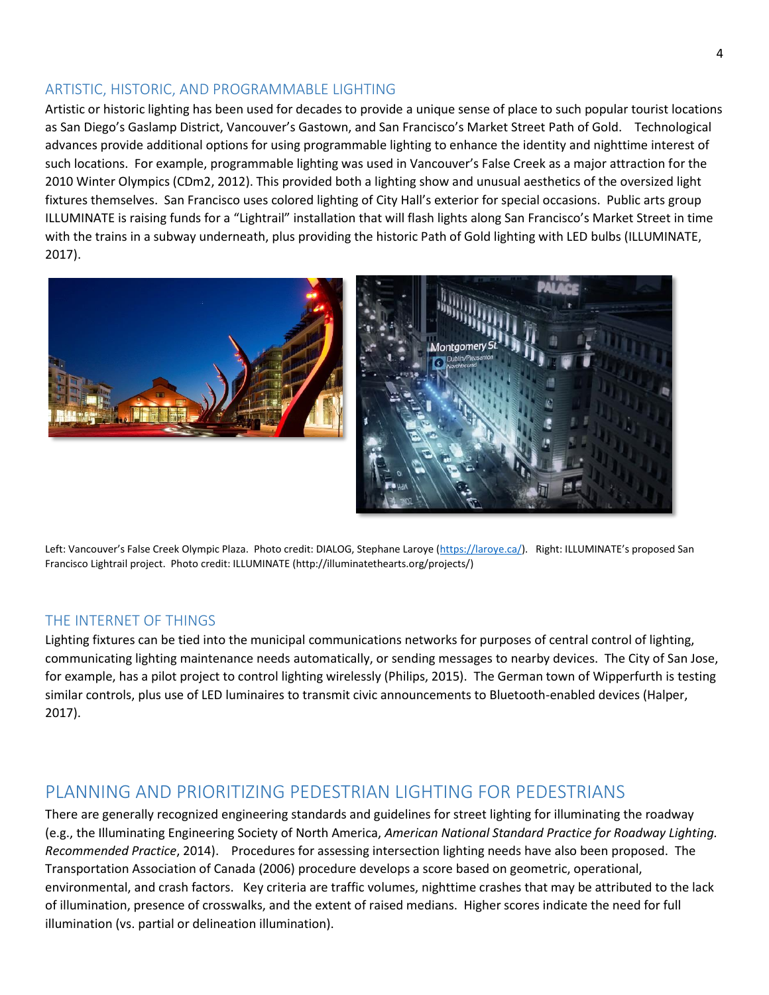#### ARTISTIC, HISTORIC, AND PROGRAMMABLE LIGHTING

Artistic or historic lighting has been used for decades to provide a unique sense of place to such popular tourist locations as San Diego's Gaslamp District, Vancouver's Gastown, and San Francisco's Market Street Path of Gold. Technological advances provide additional options for using programmable lighting to enhance the identity and nighttime interest of such locations. For example, programmable lighting was used in Vancouver's False Creek as a major attraction for the 2010 Winter Olympics (CDm2, 2012). This provided both a lighting show and unusual aesthetics of the oversized light fixtures themselves. San Francisco uses colored lighting of City Hall's exterior for special occasions. Public arts group ILLUMINATE is raising funds for a "Lightrail" installation that will flash lights along San Francisco's Market Street in time with the trains in a subway underneath, plus providing the historic Path of Gold lighting with LED bulbs (ILLUMINATE, 2017).



Left: Vancouver's False Creek Olympic Plaza. Photo credit: DIALOG, Stephane Laroye [\(https://laroye.ca/\)](https://laroye.ca/). Right: ILLUMINATE's proposed San Francisco Lightrail project. Photo credit: ILLUMINATE (http://illuminatethearts.org/projects/)

#### THE INTERNET OF THINGS

Lighting fixtures can be tied into the municipal communications networks for purposes of central control of lighting, communicating lighting maintenance needs automatically, or sending messages to nearby devices. The City of San Jose, for example, has a pilot project to control lighting wirelessly (Philips, 2015). The German town of Wipperfurth is testing similar controls, plus use of LED luminaires to transmit civic announcements to Bluetooth-enabled devices (Halper, 2017).

### PLANNING AND PRIORITIZING PEDESTRIAN LIGHTING FOR PEDESTRIANS

There are generally recognized engineering standards and guidelines for street lighting for illuminating the roadway (e.g., the Illuminating Engineering Society of North America, *American National Standard Practice for Roadway Lighting. Recommended Practice*, 2014). Procedures for assessing intersection lighting needs have also been proposed. The Transportation Association of Canada (2006) procedure develops a score based on geometric, operational, environmental, and crash factors. Key criteria are traffic volumes, nighttime crashes that may be attributed to the lack of illumination, presence of crosswalks, and the extent of raised medians. Higher scores indicate the need for full illumination (vs. partial or delineation illumination).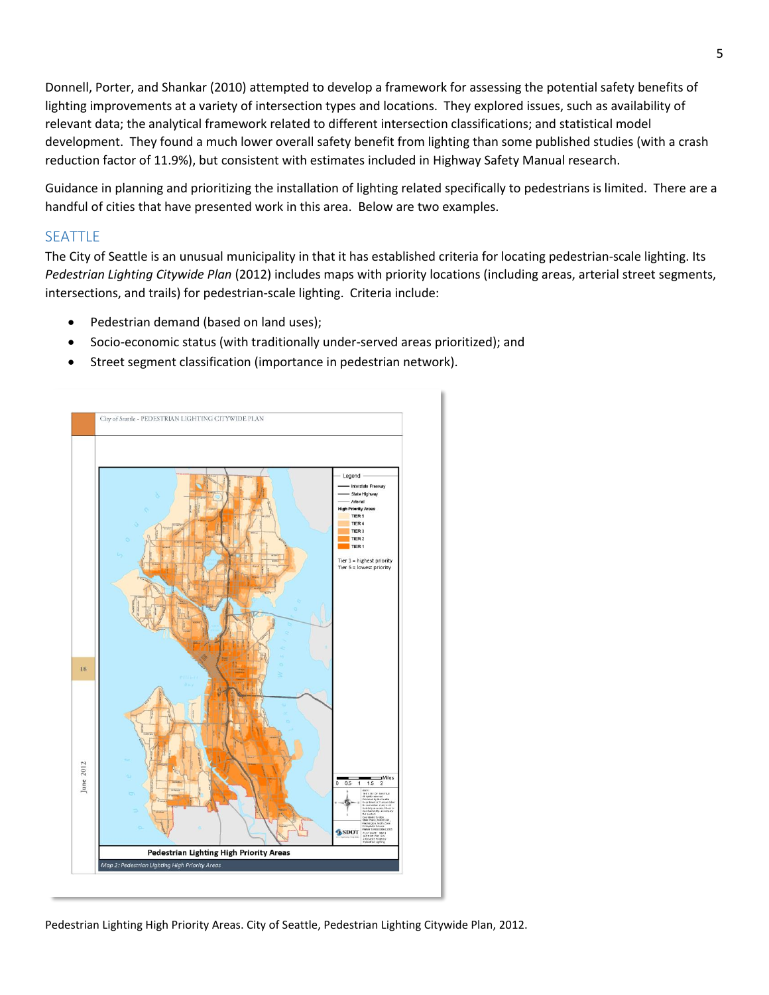Donnell, Porter, and Shankar (2010) attempted to develop a framework for assessing the potential safety benefits of lighting improvements at a variety of intersection types and locations. They explored issues, such as availability of relevant data; the analytical framework related to different intersection classifications; and statistical model development. They found a much lower overall safety benefit from lighting than some published studies (with a crash reduction factor of 11.9%), but consistent with estimates included in Highway Safety Manual research.

Guidance in planning and prioritizing the installation of lighting related specifically to pedestrians is limited. There are a handful of cities that have presented work in this area. Below are two examples.

#### SEATTLE

The City of Seattle is an unusual municipality in that it has established criteria for locating pedestrian-scale lighting. Its *Pedestrian Lighting Citywide Plan* (2012) includes maps with priority locations (including areas, arterial street segments, intersections, and trails) for pedestrian-scale lighting. Criteria include:

- Pedestrian demand (based on land uses);
- Socio-economic status (with traditionally under-served areas prioritized); and
- Street segment classification (importance in pedestrian network).



Pedestrian Lighting High Priority Areas. City of Seattle, Pedestrian Lighting Citywide Plan, 2012.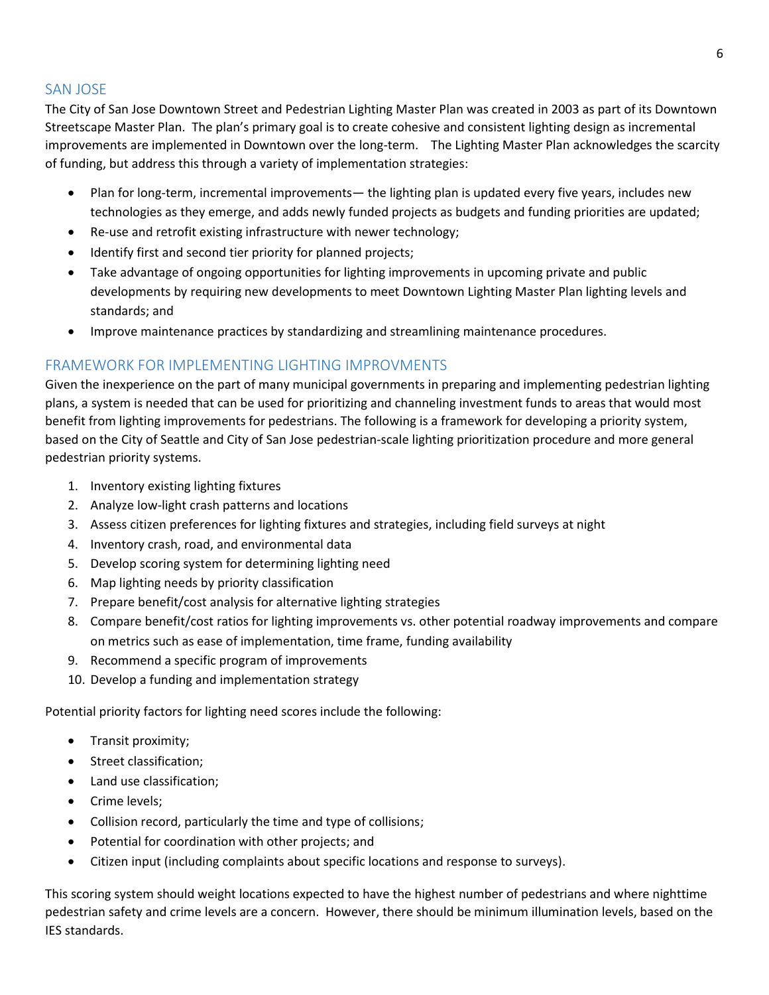#### SAN JOSE

The City of San Jose Downtown Street and Pedestrian Lighting Master Plan was created in 2003 as part of its Downtown Streetscape Master Plan. The plan's primary goal is to create cohesive and consistent lighting design as incremental improvements are implemented in Downtown over the long-term. The Lighting Master Plan acknowledges the scarcity of funding, but address this through a variety of implementation strategies:

- Plan for long-term, incremental improvements— the lighting plan is updated every five years, includes new technologies as they emerge, and adds newly funded projects as budgets and funding priorities are updated;
- Re-use and retrofit existing infrastructure with newer technology;
- Identify first and second tier priority for planned projects;
- Take advantage of ongoing opportunities for lighting improvements in upcoming private and public developments by requiring new developments to meet Downtown Lighting Master Plan lighting levels and standards; and
- Improve maintenance practices by standardizing and streamlining maintenance procedures.

#### FRAMEWORK FOR IMPLEMENTING LIGHTING IMPROVMENTS

Given the inexperience on the part of many municipal governments in preparing and implementing pedestrian lighting plans, a system is needed that can be used for prioritizing and channeling investment funds to areas that would most benefit from lighting improvements for pedestrians. The following is a framework for developing a priority system, based on the City of Seattle and City of San Jose pedestrian-scale lighting prioritization procedure and more general pedestrian priority systems.

- 1. Inventory existing lighting fixtures
- 2. Analyze low-light crash patterns and locations
- 3. Assess citizen preferences for lighting fixtures and strategies, including field surveys at night
- 4. Inventory crash, road, and environmental data
- 5. Develop scoring system for determining lighting need
- 6. Map lighting needs by priority classification
- 7. Prepare benefit/cost analysis for alternative lighting strategies
- 8. Compare benefit/cost ratios for lighting improvements vs. other potential roadway improvements and compare on metrics such as ease of implementation, time frame, funding availability
- 9. Recommend a specific program of improvements
- 10. Develop a funding and implementation strategy

Potential priority factors for lighting need scores include the following:

- Transit proximity;
- Street classification;
- Land use classification;
- Crime levels;
- Collision record, particularly the time and type of collisions;
- Potential for coordination with other projects; and
- Citizen input (including complaints about specific locations and response to surveys).

This scoring system should weight locations expected to have the highest number of pedestrians and where nighttime pedestrian safety and crime levels are a concern. However, there should be minimum illumination levels, based on the IES standards.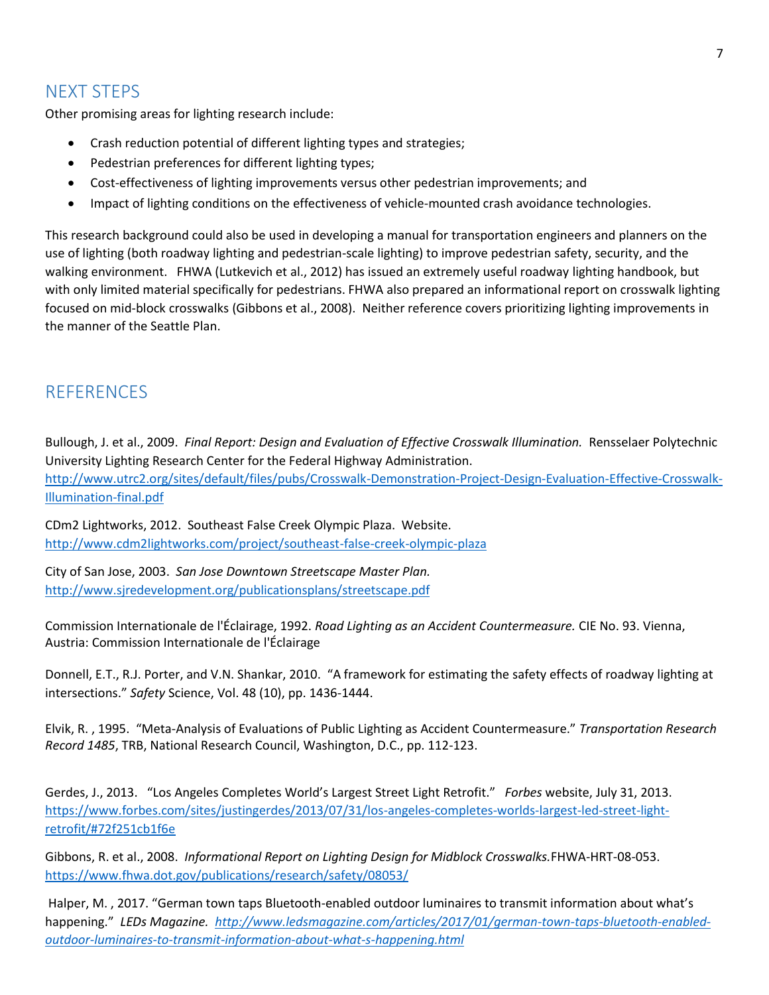# NEXT STEPS

Other promising areas for lighting research include:

- Crash reduction potential of different lighting types and strategies;
- Pedestrian preferences for different lighting types;
- Cost-effectiveness of lighting improvements versus other pedestrian improvements; and
- Impact of lighting conditions on the effectiveness of vehicle-mounted crash avoidance technologies.

This research background could also be used in developing a manual for transportation engineers and planners on the use of lighting (both roadway lighting and pedestrian-scale lighting) to improve pedestrian safety, security, and the walking environment. FHWA (Lutkevich et al., 2012) has issued an extremely useful roadway lighting handbook, but with only limited material specifically for pedestrians. FHWA also prepared an informational report on crosswalk lighting focused on mid-block crosswalks (Gibbons et al., 2008). Neither reference covers prioritizing lighting improvements in the manner of the Seattle Plan.

## **REFERENCES**

Bullough, J. et al., 2009. *Final Report: Design and Evaluation of Effective Crosswalk Illumination.* Rensselaer Polytechnic University Lighting Research Center for the Federal Highway Administration. [http://www.utrc2.org/sites/default/files/pubs/Crosswalk-Demonstration-Project-Design-Evaluation-Effective-Crosswalk-](http://www.utrc2.org/sites/default/files/pubs/Crosswalk-Demonstration-Project-Design-Evaluation-Effective-Crosswalk-Illumination-final.pdf)[Illumination-final.pdf](http://www.utrc2.org/sites/default/files/pubs/Crosswalk-Demonstration-Project-Design-Evaluation-Effective-Crosswalk-Illumination-final.pdf)

CDm2 Lightworks, 2012. Southeast False Creek Olympic Plaza. Website. <http://www.cdm2lightworks.com/project/southeast-false-creek-olympic-plaza>

City of San Jose, 2003. *San Jose Downtown Streetscape Master Plan.* http://www.sjredevelopment.org/publicationsplans/streetscape.pdf

Commission Internationale de l'Éclairage, 1992. *Road Lighting as an Accident Countermeasure.* CIE No. 93. Vienna, Austria: Commission Internationale de l'Éclairage

Donnell, E.T., R.J. Porter, and V.N. Shankar, 2010. "A framework for estimating the safety effects of roadway lighting at intersections." *Safety* Science, Vol. 48 (10), pp. 1436-1444.

Elvik, R. , 1995. "Meta-Analysis of Evaluations of Public Lighting as Accident Countermeasure." *Transportation Research Record 1485*, TRB, National Research Council, Washington, D.C., pp. 112-123.

Gerdes, J., 2013. "Los Angeles Completes World's Largest Street Light Retrofit." *Forbes* website, July 31, 2013. [https://www.forbes.com/sites/justingerdes/2013/07/31/los-angeles-completes-worlds-largest-led-street-light](https://www.forbes.com/sites/justingerdes/2013/07/31/los-angeles-completes-worlds-largest-led-street-light-retrofit/%2372f251cb1f6e)[retrofit/#72f251cb1f6e](https://www.forbes.com/sites/justingerdes/2013/07/31/los-angeles-completes-worlds-largest-led-street-light-retrofit/%2372f251cb1f6e)

Gibbons, R. et al., 2008. *Informational Report on Lighting Design for Midblock Crosswalks.*FHWA-HRT-08-053. <https://www.fhwa.dot.gov/publications/research/safety/08053/>

Halper, M. , 2017. "German town taps Bluetooth-enabled outdoor luminaires to transmit information about what's happening." *LEDs Magazine. [http://www.ledsmagazine.com/articles/2017/01/german-town-taps-bluetooth-enabled](http://www.ledsmagazine.com/articles/2017/01/german-town-taps-bluetooth-enabled-outdoor-luminaires-to-transmit-information-about-what-s-happening.html)[outdoor-luminaires-to-transmit-information-about-what-s-happening.html](http://www.ledsmagazine.com/articles/2017/01/german-town-taps-bluetooth-enabled-outdoor-luminaires-to-transmit-information-about-what-s-happening.html)*